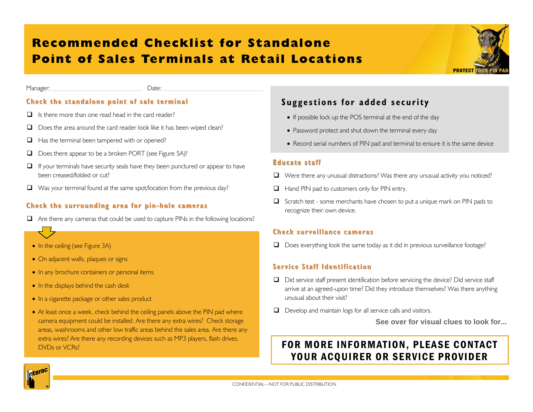# **Recommended Checklist for Standalone Point of Sales Terminals at Retail Locations**



Manager: Date:

#### **Check the standalone point of sale terminal Check the standalone point of sale terminal**

- $\Box$  Is there more than one read head in the card reader?
- $\Box$  Does the area around the card reader look like it has been wiped clean?
- $\Box$  Has the terminal been tampered with or opened?
- $\Box$  Does there appear to be a broken PORT (see Figure 5A)?
- $\Box$  If your terminals have security seals have they been punctured or appear to have been creased/folded or cut?
- $\Box$  Was your terminal found at the same spot/location from the previous day?

#### **Check the surrounding area for pin Check the surrounding area for pin-hole cameras hole cameras**

- $\Box$  Are there any cameras that could be used to capture PINs in the following locations?
- In the ceiling (see Figure 3A)
- On adjacent walls, plaques or signs
- In any brochure containers or personal items
- In the displays behind the cash desk
- In a cigarette package or other sales product
- At least once a week, check behind the ceiling panels above the PIN pad where camera equipment could be installed. Are there any extra wires? Check storage areas, washrooms and other low traffic areas behind the sales area. Are there any extra wires? Are there any recording devices such as MP3 players, flash drives, DVDs or VCRs?

### **Suggestions for added security**

- If possible lock up the POS terminal at the end of the day
- Password protect and shut down the terminal every day
- Record serial numbers of PIN pad and terminal to ensure it is the same device

#### **Educate staff Educate staff**

- Were there any unusual distractions? Was there any unusual activity you noticed?
- $\Box$  Hand PIN pad to customers only for PIN entry.
- Scratch test some merchants have chosen to put a unique mark on PIN pads to recognize their own device.

#### **Check surveillance cameras Check surveillance cameras**

 $\Box$  Does everything look the same today as it did in previous surveillance footage?

#### **Service Staff Identification Service Staff Identification**

- $\Box$  Did service staff present identification before servicing the device? Did service staff arrive at an agreed-upon time? Did they introduce themselves? Was there anything unusual about their visit?
- Develop and maintain logs for all service calls and visitors.

**See over for visual clues to look for...** 

## FOR MORE INFORMATION, PLEASE CONTACT YOUR ACOUIRER OR SERVICE PROVIDER